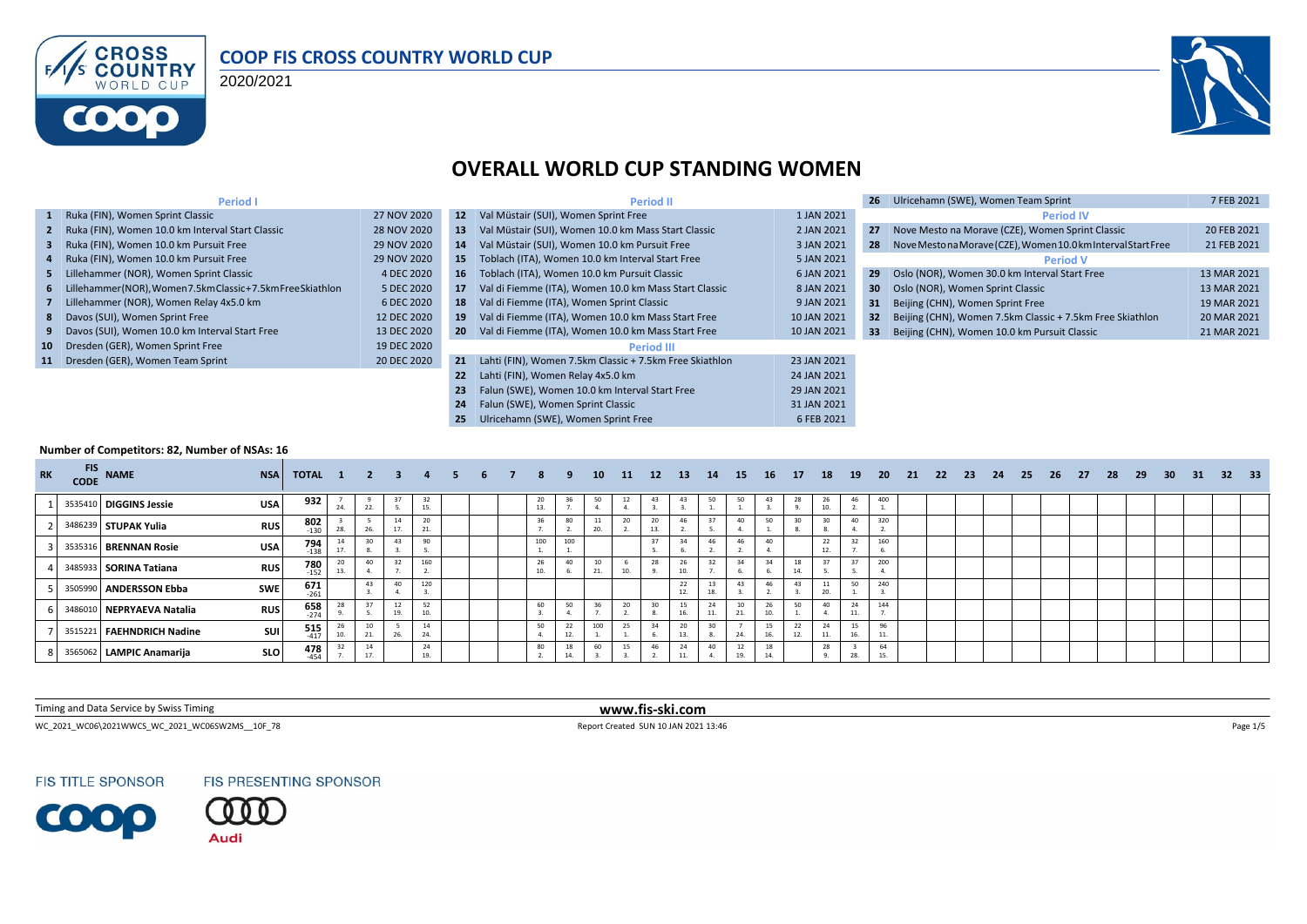

#### **COOP FIS CROSS COUNTRY WORLD CUP**

2020/2021



### **OVERALL WORLD CUP STANDING WOMEN**

| <b>Period I</b>                                                |             |                 | <b>Period II</b>                                        |             | 26              | Ulricehamn (SWE), Women Team Sprint                          | 7 FEB 2021  |
|----------------------------------------------------------------|-------------|-----------------|---------------------------------------------------------|-------------|-----------------|--------------------------------------------------------------|-------------|
| 1 Ruka (FIN), Women Sprint Classic                             | 27 NOV 2020 | 12 <sup>2</sup> | Val Müstair (SUI), Women Sprint Free                    | 1 JAN 2021  |                 | <b>Period IV</b>                                             |             |
| 2 Ruka (FIN), Women 10.0 km Interval Start Classic             | 28 NOV 2020 | 13              | Val Müstair (SUI), Women 10.0 km Mass Start Classic     | 2 JAN 2021  | 27              | Nove Mesto na Morave (CZE), Women Sprint Classic             | 20 FEB 2021 |
| 3 Ruka (FIN), Women 10.0 km Pursuit Free                       | 29 NOV 2020 | 14              | Val Müstair (SUI), Women 10.0 km Pursuit Free           | 3 JAN 2021  | 28              | Nove Mestona Morave (CZE), Women 10.0 km Interval Start Free | 21 FEB 2021 |
| 4 Ruka (FIN), Women 10.0 km Pursuit Free                       | 29 NOV 2020 | 15              | Toblach (ITA), Women 10.0 km Interval Start Free        | 5 JAN 2021  |                 | <b>Period V</b>                                              |             |
| 5 Lillehammer (NOR), Women Sprint Classic                      | 4 DEC 2020  | 16              | Toblach (ITA), Women 10.0 km Pursuit Classic            | 6 JAN 2021  | 29              | Oslo (NOR), Women 30.0 km Interval Start Free                | 13 MAR 2021 |
| 6 Lillehammer(NOR), Women 7.5km Classic + 7.5km Free Skiathlon | 5 DEC 2020  | 17              | Val di Fiemme (ITA), Women 10.0 km Mass Start Classic   | 8 JAN 2021  | 30 <sup>°</sup> | Oslo (NOR), Women Sprint Classic                             | 13 MAR 2021 |
| 7 Lillehammer (NOR), Women Relay 4x5.0 km                      | 6 DEC 2020  | 18              | Val di Fiemme (ITA), Women Sprint Classic               | 9 JAN 2021  | 31              | Beijing (CHN), Women Sprint Free                             | 19 MAR 2021 |
| 8 Davos (SUI), Women Sprint Free                               | 12 DEC 2020 | 19              | Val di Fiemme (ITA), Women 10.0 km Mass Start Free      | 10 JAN 2021 | 32              | Beijing (CHN), Women 7.5km Classic + 7.5km Free Skiathlon    | 20 MAR 2021 |
| 9 Davos (SUI), Women 10.0 km Interval Start Free               | 13 DEC 2020 | <b>20</b>       | Val di Fiemme (ITA), Women 10.0 km Mass Start Free      | 10 JAN 2021 |                 | Beijing (CHN), Women 10.0 km Pursuit Classic                 | 21 MAR 2021 |
| 10 Dresden (GER), Women Sprint Free                            | 19 DEC 2020 |                 | <b>Period III</b>                                       |             |                 |                                                              |             |
| 11 Dresden (GER), Women Team Sprint                            | 20 DEC 2020 | 21              | Lahti (FIN), Women 7.5km Classic + 7.5km Free Skiathlon | 23 JAN 2021 |                 |                                                              |             |
|                                                                |             | 22              | Lahti (FIN), Women Relay 4x5.0 km                       | 24 JAN 2021 |                 |                                                              |             |
|                                                                |             | 23              | Falun (SWE), Women 10.0 km Interval Start Free          | 29 JAN 2021 |                 |                                                              |             |
|                                                                |             |                 | Falun (SWE), Women Sprint Classic                       | 31 JAN 2021 |                 |                                                              |             |
|                                                                |             |                 | Ulricehamn (SWE), Women Sprint Free                     | 6 FEB 2021  |                 |                                                              |             |

#### **Number of Competitors: 82, Number of NSAs: 16**

| <b>RK</b> | FIS NAME                    | <b>NSA</b> | <b>TOTAL 1 2 3</b>   |     |           |           | $\overline{4}$ | 5. | 6 | 8         | -9  | 10 <sup>1</sup> | 11 12 |           | 13 14 |           | 15          | <b>16</b> | <b>17</b> | 18       | 19        | 20  | 21 22 | - 23 | 24 | 25 | -26 | - 27 | 28 | - 29 | 30 <sup>°</sup> | 31 | 32 33 |  |
|-----------|-----------------------------|------------|----------------------|-----|-----------|-----------|----------------|----|---|-----------|-----|-----------------|-------|-----------|-------|-----------|-------------|-----------|-----------|----------|-----------|-----|-------|------|----|----|-----|------|----|------|-----------------|----|-------|--|
|           | 3535410 DIGGINS Jessie      | <b>USA</b> | 932                  | 24. | 22        | 37        | 32             |    |   | 20<br>13. | 36  | 50              |       |           | 43    | 50        | 50          | 43        |           | 26<br>10 | 46        | 400 |       |      |    |    |     |      |    |      |                 |    |       |  |
|           | 3486239 STUPAK Yulia        | <b>RUS</b> | $802$ <sub>130</sub> |     | 26.       | 14<br>17. | 20<br>21.      |    |   | 36        | 80  | 11<br>20.       |       | 20<br>13. | 46    | 37        | 40          | 50        |           |          | 40        | 320 |       |      |    |    |     |      |    |      |                 |    |       |  |
|           | 3535316 BRENNAN Rosie       | <b>USA</b> | $794$<br>$138$       | 17. |           | 43        | 90             |    |   | 100       | 100 |                 |       |           |       | 46        |             | 40        |           | 22       | 22        | 160 |       |      |    |    |     |      |    |      |                 |    |       |  |
|           | 3485933 SORINA Tatiana      | <b>RUS</b> | $780$<br>$152$       | 13. | 40        | 32        | 160            |    |   | 26<br>10. | 40  | 10<br>21.       | 10    | 28        | 10.   | 32        | 34          |           | 14.       |          |           | 200 |       |      |    |    |     |      |    |      |                 |    |       |  |
|           | 3505990 ANDERSSON Ebba      | SWE        | $671$<br>$-261$      |     | 43        | 40        | 120            |    |   |           |     |                 |       |           | 22    | 13        |             |           |           |          | 50        | 240 |       |      |    |    |     |      |    |      |                 |    |       |  |
|           | 3486010 NEPRYAEVA Natalia   | <b>RUS</b> | $658$<br>$274$       |     |           | 12<br>19. | 52             |    |   | 60        | 50  | 36              |       | 30        | 15    | 24<br>11. | 10<br>21.   | 10.       | 50        |          | 24        | 144 |       |      |    |    |     |      |    |      |                 |    |       |  |
|           | 3515221   FAEHNDRICH Nadine | SUI        | $\frac{515}{417}$    | 10. | 10<br>21. | 26.       | 14<br>24.      |    |   | 50        | 22  | 100             |       |           | 20    | 30        | 24.         | 16.       | 12.       | 11.      | 15<br>16. |     |       |      |    |    |     |      |    |      |                 |    |       |  |
|           | 3565062 LAMPIC Anamarija    | <b>SLO</b> | $478$<br>$454$       |     | 14<br>17. |           | 24             |    |   | 80        | 18  | 60              | 15    | 46        | 24    | 40        | ᅭ<br>$\sim$ | 14.       |           | 28       | 28.       | 64  |       |      |    |    |     |      |    |      |                 |    |       |  |

Timing and Data Service by Swiss Timing **www.fis-ski.com**

WC\_2021\_WC06\2021WWCS\_WC\_2021\_WC06SW2MS\_\_10F\_78 Report Created SUN 10 JAN 2021 13:46 Page 1/5

**FIS TITLE SPONSOR** 





**Audi**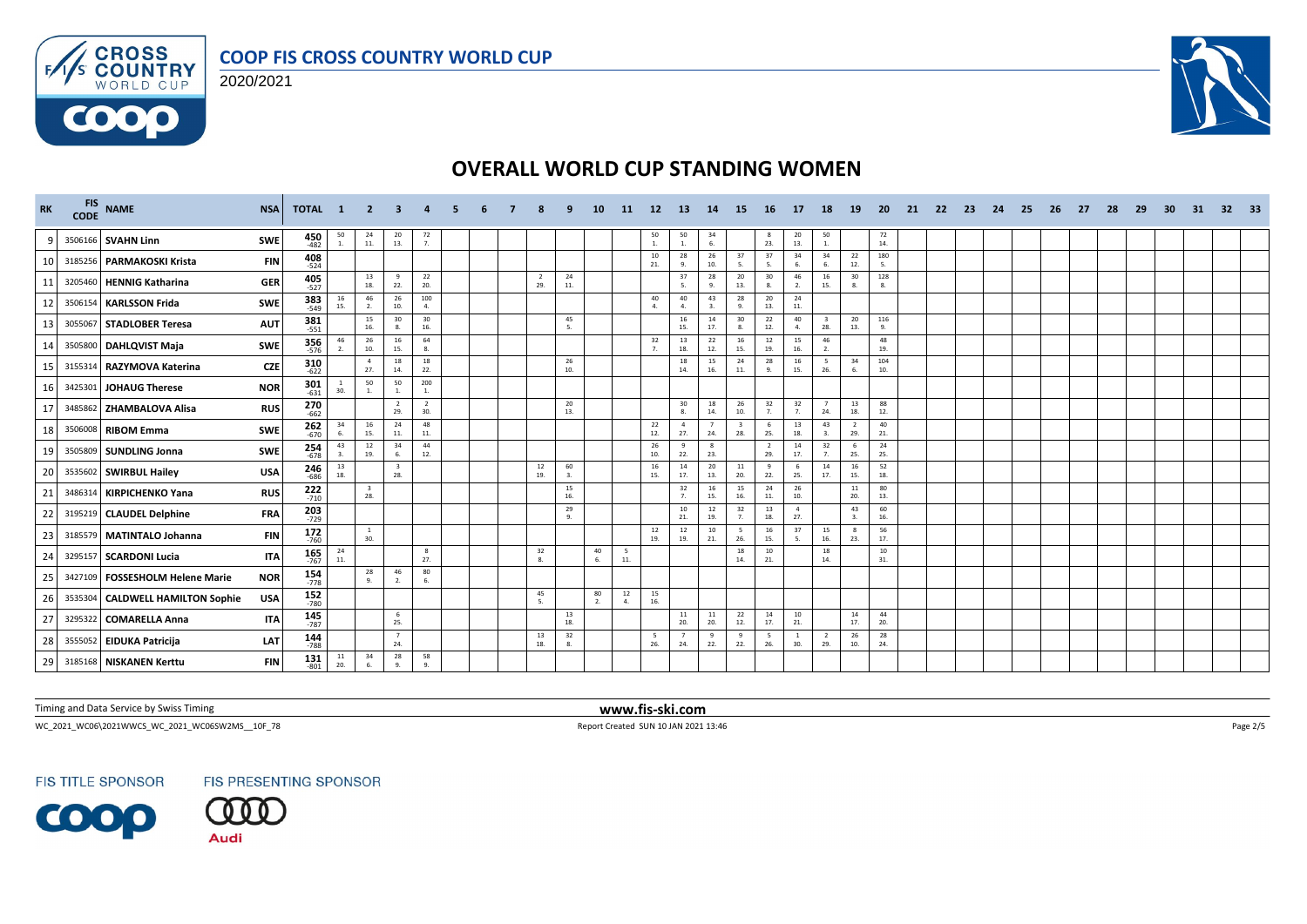





| <b>RK</b> |         | FIS NAME                           | <b>NSA</b> | TOTAL 1               |                 | $\overline{2}$                 |                       |                       |  |                       |           | 10       | -11        | 12 <sup>7</sup> | -13                   | -14                | 15                             | 16                    | 17                    | 18                             | 19                    | -20        | -21 | 22 | -23 | -24 | -25 | -26 | -27 | 28 | -29 | 30 | 31 | 32 <sub>2</sub> | - 33 |
|-----------|---------|------------------------------------|------------|-----------------------|-----------------|--------------------------------|-----------------------|-----------------------|--|-----------------------|-----------|----------|------------|-----------------|-----------------------|--------------------|--------------------------------|-----------------------|-----------------------|--------------------------------|-----------------------|------------|-----|----|-----|-----|-----|-----|-----|----|-----|----|----|-----------------|------|
|           |         | 3506166 SVAHN Linn                 | <b>SWE</b> | 450<br>$-482$         | $50\atop-1.$    | $\frac{24}{11}$                | 20<br>13.             | 72<br>7.              |  |                       |           |          |            | $50$ $1.$       | 50<br>$\mathbf{1}$ .  | 34<br>6.           |                                | -8<br>23.             | 20<br>13.             | 50<br><sup>1</sup>             |                       | 72<br>14.  |     |    |     |     |     |     |     |    |     |    |    |                 |      |
| 10        |         | 3185256 PARMAKOSKI Krista          | <b>FIN</b> | $408 - 524$           |                 |                                |                       |                       |  |                       |           |          |            | 10<br>21.       | 28<br>9.              | 26<br>10.          | 37<br>-5.                      | 37<br>5.              | 34<br>6.              | 34<br>6.                       | 22<br>12.             | 180<br>5.  |     |    |     |     |     |     |     |    |     |    |    |                 |      |
| 11        | 3205460 | HENNIG Katharina                   | <b>GER</b> | $405$ <sub>-527</sub> |                 | 13<br>18.                      | $\mathbf{q}$<br>22.   | 22<br>20.             |  | $\overline{2}$<br>29. | 24<br>11. |          |            |                 | 37<br>-5.             | 28<br>9.           | 20<br>13.                      | 30<br>8.              | 46<br>2.              | 16<br>15.                      | 30<br>8.              | 128<br>8.  |     |    |     |     |     |     |     |    |     |    |    |                 |      |
| 12        | 3506154 | <b>KARLSSON Frida</b>              | <b>SWE</b> | <b>383</b><br>-549    | $\frac{16}{15}$ | 46<br>2.                       | 26<br>10.             | 100<br>$\mathbf{4}$   |  |                       |           |          |            | 40<br>4.        | 40<br>$\mathbf{A}$    | 43<br>$\mathbf{a}$ | 28<br>-9.                      | 20<br>13.             | 24<br>11.             |                                |                       |            |     |    |     |     |     |     |     |    |     |    |    |                 |      |
| 13        |         | 3055067 STADLOBER Teresa           | <b>AUT</b> | 381                   |                 | 15<br>16.                      | 30<br>8.              | 30<br>16.             |  |                       | 45<br>5.  |          |            |                 | 16<br>15.             | 14<br>17.          | 30<br>8.                       | 22<br>12.             | 40<br>$\mathbf{A}$    | $\overline{\mathbf{3}}$<br>28. | 20<br>13.             | 116<br>9.  |     |    |     |     |     |     |     |    |     |    |    |                 |      |
| 14        |         | 3505800 DAHLQVIST Maja             | <b>SWE</b> | 356<br>576            | 46<br>2.        | 26<br>10.                      | 16<br>15.             | 64                    |  |                       |           |          |            | 32<br>7.        | 13<br>18.             | 22<br>12.          | 16<br>15.                      | 12<br>19.             | 15<br>16.             | 46<br>$\overline{2}$           |                       | 48<br>19.  |     |    |     |     |     |     |     |    |     |    |    |                 |      |
| 15        | 3155314 | RAZYMOVA Katerina                  | <b>CZE</b> | $310$<br>$622$        |                 | $\overline{4}$<br>27.          | 18<br>14.             | 18<br>22.             |  |                       | 26<br>10. |          |            |                 | 18<br>14.             | 15<br>16.          | 24<br>11.                      | 28<br>-9.             | 16<br>15.             | - 5<br>26.                     | 34<br>6.              | 104<br>10. |     |    |     |     |     |     |     |    |     |    |    |                 |      |
| 16        | 3425301 | <b>JOHAUG Therese</b>              | <b>NOR</b> | $301$ <sub>-631</sub> | -1<br>30.       | 50<br>1.                       | 50<br>1.              | 200<br>1              |  |                       |           |          |            |                 |                       |                    |                                |                       |                       |                                |                       |            |     |    |     |     |     |     |     |    |     |    |    |                 |      |
| 17        | 3485862 | <b>ZHAMBALOVA Alisa</b>            | <b>RUS</b> | $270$<br>$662$        |                 |                                | $\overline{2}$<br>29. | $\overline{2}$<br>30. |  |                       | 20<br>13. |          |            |                 | $30\,$<br>8.          | 18<br>14.          | 26<br>10.                      | 32<br>7.              | 32<br>7.              | 24.                            | 13<br>18.             | 88<br>12.  |     |    |     |     |     |     |     |    |     |    |    |                 |      |
| 18        |         | 3506008 RIBOM Emma                 | SWE        | $262$<br>$-670$       | 34<br>6.        | 16<br>15.                      | 24<br>$11.$           | 48<br>11.             |  |                       |           |          |            | 22<br>12.       | $\overline{4}$<br>27. | 24.                | $\overline{\mathbf{3}}$<br>28. | -6<br>25.             | 13<br>18.             | 43<br>$\overline{3}$           | $\overline{2}$<br>29. | 40<br>21.  |     |    |     |     |     |     |     |    |     |    |    |                 |      |
| 19        | 3505809 | <b>SUNDLING Jonna</b>              | <b>SWE</b> | 254<br>678            | 43              | 12<br>19.                      | 34<br>6.              | 44<br>12.             |  |                       |           |          |            | 26<br>10.       | 22.                   | 23.                |                                | $\overline{2}$<br>29. | 14<br>17.             | 32<br>7.                       | 6<br>25.              | 24<br>25.  |     |    |     |     |     |     |     |    |     |    |    |                 |      |
| 20        |         | 3535602 SWIRBUL Hailey             | <b>USA</b> | <b>246</b><br>686     | 13<br>18.       |                                | 28.                   |                       |  | 12<br>19.             | 60<br>3.  |          |            | 16<br>15.       | 14<br>17.             | 20<br>13.          | 11<br>20.                      | 9<br>22.              | 6<br>25.              | 14<br>17.                      | 16<br>15.             | 52<br>18.  |     |    |     |     |     |     |     |    |     |    |    |                 |      |
| 21        | 3486314 | <b>KIRPICHENKO Yana</b>            | <b>RUS</b> | $222$<br>710          |                 | $\overline{\mathbf{3}}$<br>28. |                       |                       |  |                       | 15<br>16. |          |            |                 | 32<br>7.              | 16<br>15.          | 15<br>16.                      | 24<br>11.             | 26<br>10.             |                                | 11<br>20.             | 80<br>13.  |     |    |     |     |     |     |     |    |     |    |    |                 |      |
| 22        |         | 3195219 CLAUDEL Delphine           | FRA        | 203<br>$-729$         |                 |                                |                       |                       |  |                       | 29<br>9.  |          |            |                 | 10<br>21.             | 12<br>19.          | 32<br>$\overline{7}$           | 13<br>18.             | $\overline{a}$<br>27. |                                | 43<br>3.              | 60<br>16.  |     |    |     |     |     |     |     |    |     |    |    |                 |      |
| 23        |         | 3185579 MATINTALO Johanna          | <b>FIN</b> | $172$<br>760          |                 | $\mathbf{1}$<br>30.            |                       |                       |  |                       |           |          |            | $12\,$<br>19.   | 12<br>19.             | 10<br>21.          | 5<br>26.                       | 16<br>15.             | 37<br>-5.             | 15<br>16.                      | 8<br>23.              | 56<br>17.  |     |    |     |     |     |     |     |    |     |    |    |                 |      |
| 24        |         | 3295157 SCARDONI Lucia             | <b>ITA</b> | 165<br>$-767$         | 24<br>11.       |                                |                       | 8<br>27.              |  | 32<br>8.              |           | 40<br>6. | - 5<br>11. |                 |                       |                    | 18<br>14.                      | $10\,$<br>21.         |                       | 18<br>14.                      |                       | 10<br>31.  |     |    |     |     |     |     |     |    |     |    |    |                 |      |
| 25        |         | 3427109   FOSSESHOLM Helene Marie  | <b>NOR</b> | $154$ <sub>778</sub>  |                 | 28<br>9.                       | 46<br>2.              | 80<br>6.              |  |                       |           |          |            |                 |                       |                    |                                |                       |                       |                                |                       |            |     |    |     |     |     |     |     |    |     |    |    |                 |      |
| 26        |         | 3535304   CALDWELL HAMILTON Sophie | <b>USA</b> | 152<br>$-780$         |                 |                                |                       |                       |  | 45<br>5.              |           | 80<br>2. | 12<br>4.   | 15<br>16.       |                       |                    |                                |                       |                       |                                |                       |            |     |    |     |     |     |     |     |    |     |    |    |                 |      |
| 27        |         | 3295322 COMARELLA Anna             | <b>ITA</b> | 145<br>$-787$         |                 |                                | -6<br>25.             |                       |  |                       | 13<br>18. |          |            |                 | $11\,$<br>20.         | $\frac{11}{20}$    | 22<br>12.                      | 14<br>17.             | 10<br>21.             |                                | 14<br>17.             | 44<br>20.  |     |    |     |     |     |     |     |    |     |    |    |                 |      |
| 28        |         | 3555052 EIDUKA Patricija           | LAT        | $144$<br>$788$        |                 |                                | $\overline{7}$<br>24. |                       |  | 13<br>18.             | 32<br>8.  |          |            | 5<br>26.        | -7<br>24.             | 9<br>22.           | -9<br>22.                      | -5<br>26.             | 30.                   | - 2<br>29.                     | 26<br>10.             | 28<br>24.  |     |    |     |     |     |     |     |    |     |    |    |                 |      |
| 29        |         | 3185168 NISKANEN Kerttu            | <b>FIN</b> | $131 \over 801$       | 11<br>20.       | 34                             | 28<br>Q               | 58<br>$\alpha$        |  |                       |           |          |            |                 |                       |                    |                                |                       |                       |                                |                       |            |     |    |     |     |     |     |     |    |     |    |    |                 |      |

Timing and Data Service by Swiss Timing **www.fis-ski.com**

WC\_2021\_WC06\2021WWCS\_WC\_2021\_WC06SW2MS\_\_10F\_78 Report Created SUN 10 JAN 2021 13:46 Page 2/5

**FIS TITLE SPONSOR** 





**Audi**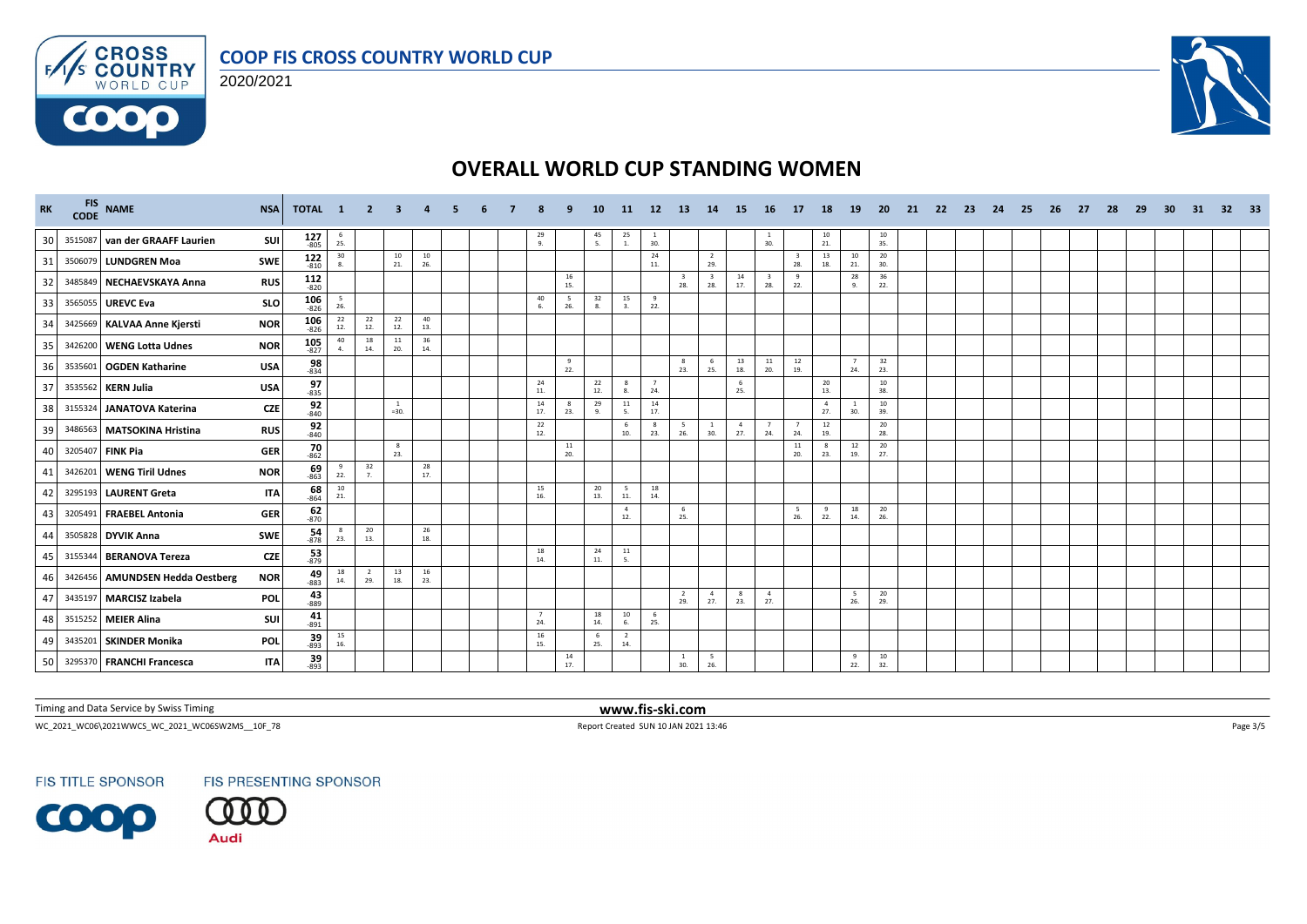





| <b>RK</b> | FIS NAME<br>CODE NAME           | <b>NSA</b> | TOTAL 1              |                                          | $\overline{2}$ | -3                      |           |  |                       | ٠q        | 10                                       | <b>11</b>                               | 12              | -13                   | 14                    | <b>15</b>             | -16                            | 17         | 18                    | <b>19</b>             | <b>20</b>       | -21 | 22 | -23 | - 24 | -25 | - 26 | -27 | -28 | 29 | 30 | 31 | 32 <sub>2</sub> | - 33 |
|-----------|---------------------------------|------------|----------------------|------------------------------------------|----------------|-------------------------|-----------|--|-----------------------|-----------|------------------------------------------|-----------------------------------------|-----------------|-----------------------|-----------------------|-----------------------|--------------------------------|------------|-----------------------|-----------------------|-----------------|-----|----|-----|------|-----|------|-----|-----|----|----|----|-----------------|------|
| 30        | 3515087 van der GRAAFF Laurien  | SUI        | $127 - 805$          | $\frac{6}{25}$                           |                |                         |           |  | $^{29}_{9.}$          |           | $\frac{45}{5}$                           | $\begin{array}{c} 25 \\ 1. \end{array}$ | $\frac{1}{30}$  |                       |                       |                       | $\frac{1}{30}$                 |            | $\frac{10}{21}$       |                       | $\frac{10}{35}$ |     |    |     |      |     |      |     |     |    |    |    |                 |      |
| 31        | 3506079 LUNDGREN Moa            | <b>SWE</b> | $122$<br>$-810$      | 30<br>8.                                 |                | 10<br>21.               | 10<br>26. |  |                       |           |                                          |                                         | 24<br>11.       |                       | $\overline{2}$<br>29. |                       |                                | 28.        | 13<br>18.             | 10<br>21.             | 20<br>30.       |     |    |     |      |     |      |     |     |    |    |    |                 |      |
| 32        | 3485849 NECHAEVSKAYA Anna       | <b>RUS</b> | 112<br>$-820$        |                                          |                |                         |           |  |                       | 16<br>15. |                                          |                                         |                 | 28.                   | 28.                   | 14<br>17.             | $\overline{\mathbf{3}}$<br>28. | 9<br>22.   |                       | 28<br>9.              | 36<br>22.       |     |    |     |      |     |      |     |     |    |    |    |                 |      |
| 33        | 3565055 UREVC Eva               | <b>SLO</b> | $106 - 826$          | 5<br>26.                                 |                |                         |           |  | 40<br>6.              | 5<br>26.  | 32<br>8.                                 | 15                                      | - 9<br>22.      |                       |                       |                       |                                |            |                       |                       |                 |     |    |     |      |     |      |     |     |    |    |    |                 |      |
| 34        | 3425669 KALVAA Anne Kjersti     | <b>NOR</b> | $106$<br>-826        | 22<br>12.                                | 22<br>12.      | 22<br>12.               | 40<br>13. |  |                       |           |                                          |                                         |                 |                       |                       |                       |                                |            |                       |                       |                 |     |    |     |      |     |      |     |     |    |    |    |                 |      |
| 35        | 3426200 WENG Lotta Udnes        | <b>NOR</b> | $105$ <sub>827</sub> | 40<br>4.                                 | 18<br>14.      | $11\,$<br>20.           | 36<br>14. |  |                       |           |                                          |                                         |                 |                       |                       |                       |                                |            |                       |                       |                 |     |    |     |      |     |      |     |     |    |    |    |                 |      |
| 36        | 3535601 OGDEN Katharine         | <b>USA</b> | 98<br>$-834$         |                                          |                |                         |           |  |                       | 9<br>22.  |                                          |                                         |                 | 8<br>23.              | - 6<br>25.            | 13<br>18.             | 11<br>20.                      | 12<br>19.  |                       | $\overline{7}$<br>24. | 32<br>23.       |     |    |     |      |     |      |     |     |    |    |    |                 |      |
| 37        | 3535562 KERN Julia              | <b>USA</b> | 97<br>$-835$         |                                          |                |                         |           |  | 24<br>11.             |           | 22<br>12.                                | 8<br>8.                                 | 7<br>24.        |                       |                       | - 6<br>25.            |                                |            | 20<br>13.             |                       | 10<br>38.       |     |    |     |      |     |      |     |     |    |    |    |                 |      |
| 38        | 3155324 JANATOVA Katerina       | <b>CZE</b> | 92<br>$-840$         |                                          |                | <sup>1</sup><br>$=30.$  |           |  | 14<br>17.             | -8<br>23. | 29<br>9.                                 | 11<br>5.                                | $\frac{14}{17}$ |                       |                       |                       |                                |            | $\overline{4}$<br>27. | $\mathbf{1}$<br>30.   | 10<br>39.       |     |    |     |      |     |      |     |     |    |    |    |                 |      |
| 39        | 3486563 MATSOKINA Hristina      | <b>RUS</b> | $\frac{92}{840}$     |                                          |                |                         |           |  | 22<br>12.             |           |                                          | - 6<br>10.                              | - 8<br>23.      | 26.                   | -1<br>30.             | $\overline{4}$<br>27. | 7<br>24.                       | 24.        | 12<br>19.             |                       | 20<br>28.       |     |    |     |      |     |      |     |     |    |    |    |                 |      |
| 40        | 3205407 FINK Pia                | <b>GER</b> | $\frac{70}{862}$     |                                          |                | $\boldsymbol{8}$<br>23. |           |  |                       | 11<br>20. |                                          |                                         |                 |                       |                       |                       |                                | 11<br>20.  | - 8<br>23.            | 12<br>19.             | 20<br>27.       |     |    |     |      |     |      |     |     |    |    |    |                 |      |
| 41        | 3426201 WENG Tiril Udnes        | <b>NOR</b> | $\frac{69}{863}$     | 9<br>22.                                 | 32<br>7.       |                         | 28<br>17. |  |                       |           |                                          |                                         |                 |                       |                       |                       |                                |            |                       |                       |                 |     |    |     |      |     |      |     |     |    |    |    |                 |      |
| 42        | 3295193 LAURENT Greta           | <b>ITA</b> | 68<br>$-864$         | 10<br>21.                                |                |                         |           |  | 15<br>16.             |           | 20<br>13.                                | 5<br>$\bf 11.$                          | 18<br>14.       |                       |                       |                       |                                |            |                       |                       |                 |     |    |     |      |     |      |     |     |    |    |    |                 |      |
| 43        | 3205491 FRAEBEL Antonia         | <b>GER</b> | $\frac{62}{870}$     |                                          |                |                         |           |  |                       |           |                                          | $\overline{4}$<br>12.                   |                 | - 6<br>25.            |                       |                       |                                | - 5<br>26. | 9<br>22.              | 18<br>14.             | 20<br>26.       |     |    |     |      |     |      |     |     |    |    |    |                 |      |
| 44        | 3505828 DYVIK Anna              | <b>SWE</b> | $\frac{54}{878}$     | $_{\rm 8}$<br>23.                        | 20<br>13.      |                         | 26<br>18. |  |                       |           |                                          |                                         |                 |                       |                       |                       |                                |            |                       |                       |                 |     |    |     |      |     |      |     |     |    |    |    |                 |      |
| 45        | 3155344 BERANOVA Tereza         | <b>CZE</b> | $\frac{53}{879}$     |                                          |                |                         |           |  | 18<br>14.             |           | 24<br>11.                                | $11\,$<br>-5.                           |                 |                       |                       |                       |                                |            |                       |                       |                 |     |    |     |      |     |      |     |     |    |    |    |                 |      |
| 46        | 3426456 AMUNDSEN Hedda Oestberg | <b>NOR</b> | $\frac{49}{883}$     | 18<br>14.                                | 2<br>29.       | 13<br>18.               | 16<br>23. |  |                       |           |                                          |                                         |                 |                       |                       |                       |                                |            |                       |                       |                 |     |    |     |      |     |      |     |     |    |    |    |                 |      |
| 47        | 3435197 MARCISZ Izabela         | <b>POL</b> | 43<br>$-889$         |                                          |                |                         |           |  |                       |           |                                          |                                         |                 | $\overline{2}$<br>29. | $\overline{4}$<br>27. | 8<br>23.              | $\overline{4}$<br>27.          |            |                       | 5<br>26.              | 20<br>29.       |     |    |     |      |     |      |     |     |    |    |    |                 |      |
| 48        | 3515252 MEIER Alina             | SUI        | 41<br>$-891$         |                                          |                |                         |           |  | $\overline{7}$<br>24. |           | $\begin{array}{c} 18 \\ 14. \end{array}$ | 10<br>6.                                | 6<br>25.        |                       |                       |                       |                                |            |                       |                       |                 |     |    |     |      |     |      |     |     |    |    |    |                 |      |
| 49        | 3435201 SKINDER Monika          | POL        | $39 - 893$           | $\begin{array}{c} 15 \\ 16. \end{array}$ |                |                         |           |  | 16<br>15.             |           | 6<br>25.                                 | $\overline{2}$<br>14.                   |                 |                       |                       |                       |                                |            |                       |                       |                 |     |    |     |      |     |      |     |     |    |    |    |                 |      |
| 50        | 3295370 FRANCHI Francesca       | <b>ITA</b> | $\frac{39}{893}$     |                                          |                |                         |           |  |                       | 14<br>17. |                                          |                                         |                 | <sup>1</sup><br>30.   | 5<br>26.              |                       |                                |            |                       | 9<br>22.              | 10<br>32.       |     |    |     |      |     |      |     |     |    |    |    |                 |      |

Timing and Data Service by Swiss Timing **www.fis-ski.com**

WC\_2021\_WC06\2021WWCS\_WC\_2021\_WC06SW2MS\_\_10F\_78 Report Created SUN 10 JAN 2021 13:46 Page 3/5

**FIS TITLE SPONSOR** 



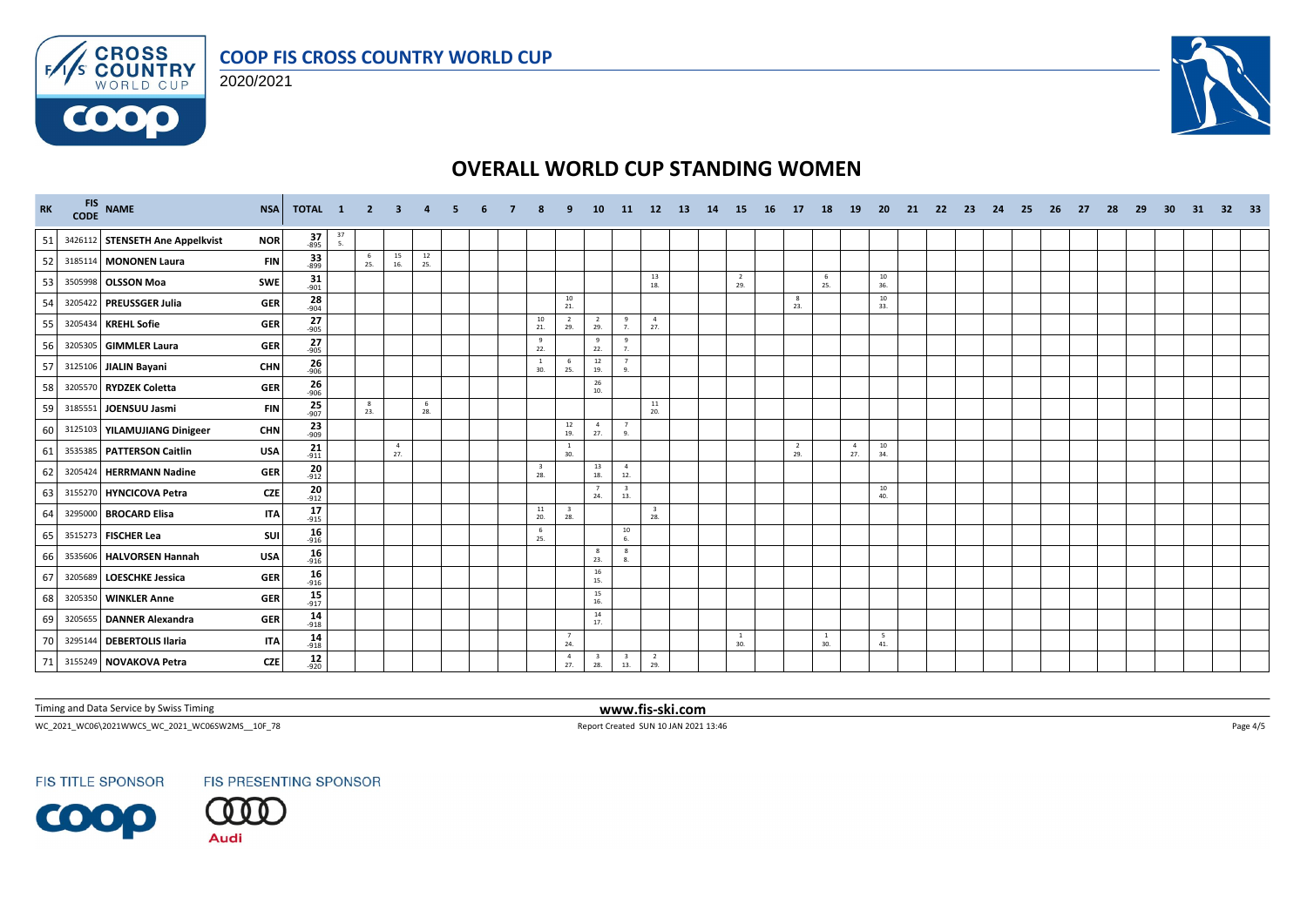





| <b>RK</b> |         | FIS NAME<br>CODE NAME           | <b>NSA</b> | TOTAL 1              |                                         | 2 3      |                       | $\overline{a}$ | -5. | -6 |                                          | ٩                              | <b>10</b>                                |                                | 11 12 13                       | 14 | 15                    | 16 17 |                       | <b>18</b>             | <b>19</b>             | <b>20</b> | 21 | - 22 | - 23 | - 24 | -25 | - 26 | 27 | -28 | -29 | 30 | 31 | 32 33 |  |
|-----------|---------|---------------------------------|------------|----------------------|-----------------------------------------|----------|-----------------------|----------------|-----|----|------------------------------------------|--------------------------------|------------------------------------------|--------------------------------|--------------------------------|----|-----------------------|-------|-----------------------|-----------------------|-----------------------|-----------|----|------|------|------|-----|------|----|-----|-----|----|----|-------|--|
| 51        |         | 3426112 STENSETH Ane Appelkvist | <b>NOR</b> | $\frac{37}{895}$     | $\begin{array}{c} 37 \\ 5. \end{array}$ |          |                       |                |     |    |                                          |                                |                                          |                                |                                |    |                       |       |                       |                       |                       |           |    |      |      |      |     |      |    |     |     |    |    |       |  |
| 52        |         | 3185114 MONONEN Laura           | <b>FIN</b> | $\frac{33}{899}$     |                                         | 6<br>25. | 15<br>16.             | 12<br>25.      |     |    |                                          |                                |                                          |                                |                                |    |                       |       |                       |                       |                       |           |    |      |      |      |     |      |    |     |     |    |    |       |  |
| 53        |         | 3505998 OLSSON Moa              | <b>SWE</b> | $\frac{31}{901}$     |                                         |          |                       |                |     |    |                                          |                                |                                          |                                | 13<br>18.                      |    | $\overline{2}$<br>29. |       |                       | 6<br>25.              |                       | 10<br>36. |    |      |      |      |     |      |    |     |     |    |    |       |  |
| 54        |         | 3205422 PREUSSGER Julia         | <b>GER</b> | $\frac{28}{-904}$    |                                         |          |                       |                |     |    |                                          | 10<br>21.                      |                                          |                                |                                |    |                       |       | 8<br>23.              |                       |                       | 10<br>33. |    |      |      |      |     |      |    |     |     |    |    |       |  |
| 55        |         | 3205434 KREHL Sofie             | <b>GER</b> | $\frac{27}{-905}$    |                                         |          |                       |                |     |    | $\begin{array}{c} 10 \\ 21. \end{array}$ | $\overline{2}$<br>29.          | $\overline{2}$<br>29.                    | 9<br>7.                        | $\overline{4}$<br>27.          |    |                       |       |                       |                       |                       |           |    |      |      |      |     |      |    |     |     |    |    |       |  |
| 56        |         | 3205305 GIMMLER Laura           | <b>GER</b> | $27 - 905$           |                                         |          |                       |                |     |    | 9<br>22.                                 |                                | 9<br>22.                                 | 9<br>$\overline{7}$            |                                |    |                       |       |                       |                       |                       |           |    |      |      |      |     |      |    |     |     |    |    |       |  |
| 57        |         | 3125106 JIALIN Bayani           | <b>CHN</b> | 26<br>$-906$         |                                         |          |                       |                |     |    | <sup>1</sup><br>30.                      | 6<br>25.                       | $\begin{array}{c} 12 \\ 19. \end{array}$ |                                |                                |    |                       |       |                       |                       |                       |           |    |      |      |      |     |      |    |     |     |    |    |       |  |
| 58        |         | 3205570 RYDZEK Coletta          | <b>GER</b> | $\frac{26}{906}$     |                                         |          |                       |                |     |    |                                          |                                | 26<br>10.                                |                                |                                |    |                       |       |                       |                       |                       |           |    |      |      |      |     |      |    |     |     |    |    |       |  |
| 59        |         | 3185551 JOENSUU Jasmi           | <b>FIN</b> | $25$ <sub>907</sub>  |                                         | 8<br>23. |                       | - 6<br>28.     |     |    |                                          |                                |                                          |                                | $\frac{11}{20}$                |    |                       |       |                       |                       |                       |           |    |      |      |      |     |      |    |     |     |    |    |       |  |
| 60        |         | 3125103 YILAMUJIANG Dinigeer    | <b>CHN</b> | $\frac{23}{909}$     |                                         |          |                       |                |     |    |                                          | 12<br>19.                      | $\overline{4}$<br>27.                    | $\overline{7}$<br>9.           |                                |    |                       |       |                       |                       |                       |           |    |      |      |      |     |      |    |     |     |    |    |       |  |
| 61        |         | 3535385 PATTERSON Caitlin       | <b>USA</b> | $\frac{21}{911}$     |                                         |          | $\overline{4}$<br>27. |                |     |    |                                          | $\overline{1}$<br>30.          |                                          |                                |                                |    |                       |       | $\overline{2}$<br>29. |                       | $\overline{4}$<br>27. | 10<br>34. |    |      |      |      |     |      |    |     |     |    |    |       |  |
| 62        |         | 3205424 HERRMANN Nadine         | <b>GER</b> | $\frac{20}{-912}$    |                                         |          |                       |                |     |    | $\overline{\mathbf{3}}$<br>28.           |                                | 13<br>18.                                | $\overline{4}$<br>12.          |                                |    |                       |       |                       |                       |                       |           |    |      |      |      |     |      |    |     |     |    |    |       |  |
| 63        |         | 3155270 HYNCICOVA Petra         | <b>CZE</b> | $\frac{20}{-912}$    |                                         |          |                       |                |     |    |                                          |                                | $\overline{7}$<br>24.                    | $\overline{\mathbf{3}}$<br>13. |                                |    |                       |       |                       |                       |                       | 10<br>40. |    |      |      |      |     |      |    |     |     |    |    |       |  |
| 64        |         | 3295000 BROCARD Elisa           | <b>ITA</b> | 17<br>$-915$         |                                         |          |                       |                |     |    | 11<br>20.                                | $\overline{\mathbf{3}}$<br>28. |                                          |                                | $\overline{\mathbf{3}}$<br>28. |    |                       |       |                       |                       |                       |           |    |      |      |      |     |      |    |     |     |    |    |       |  |
| 65        |         | 3515273 FISCHER Lea             | SUI        | $16 - 916$           |                                         |          |                       |                |     |    | 6<br>25.                                 |                                |                                          | 10<br>6.                       |                                |    |                       |       |                       |                       |                       |           |    |      |      |      |     |      |    |     |     |    |    |       |  |
| 66        |         | 3535606 HALVORSEN Hannah        | <b>USA</b> | $16 - 916$           |                                         |          |                       |                |     |    |                                          |                                | 8<br>23.                                 | 8<br>8.                        |                                |    |                       |       |                       |                       |                       |           |    |      |      |      |     |      |    |     |     |    |    |       |  |
| 67        | 3205689 | LOESCHKE Jessica                | <b>GER</b> | 16<br>$-916$         |                                         |          |                       |                |     |    |                                          |                                | 16<br>15.                                |                                |                                |    |                       |       |                       |                       |                       |           |    |      |      |      |     |      |    |     |     |    |    |       |  |
| 68        |         | 3205350 WINKLER Anne            | <b>GER</b> | $15 - 917$           |                                         |          |                       |                |     |    |                                          |                                | 15<br>16.                                |                                |                                |    |                       |       |                       |                       |                       |           |    |      |      |      |     |      |    |     |     |    |    |       |  |
| 69        |         | 3205655 DANNER Alexandra        | <b>GER</b> | $\frac{14}{918}$     |                                         |          |                       |                |     |    |                                          |                                | 14<br>17.                                |                                |                                |    |                       |       |                       |                       |                       |           |    |      |      |      |     |      |    |     |     |    |    |       |  |
| 70        |         | 3295144 DEBERTOLIS Ilaria       | <b>ITA</b> | $14$ <sub>-918</sub> |                                         |          |                       |                |     |    |                                          | 7<br>24.                       |                                          |                                |                                |    | $\mathbf{1}$<br>30.   |       |                       | $\overline{1}$<br>30. |                       | 5<br>41.  |    |      |      |      |     |      |    |     |     |    |    |       |  |
| 71        |         | 3155249 NOVAKOVA Petra          | CZE        | $12_{920}$           |                                         |          |                       |                |     |    |                                          | $\sim$<br>27.                  | $\overline{\mathbf{3}}$<br>28.           | $\overline{\mathbf{3}}$<br>13. | $\overline{2}$<br>29.          |    |                       |       |                       |                       |                       |           |    |      |      |      |     |      |    |     |     |    |    |       |  |

Timing and Data Service by Swiss Timing **www.fis-ski.com**

WC\_2021\_WC06\2021WWCS\_WC\_2021\_WC06SW2MS\_\_10F\_78 Report Created SUN 10 JAN 2021 13:46 Page 4/5

**FIS TITLE SPONSOR**